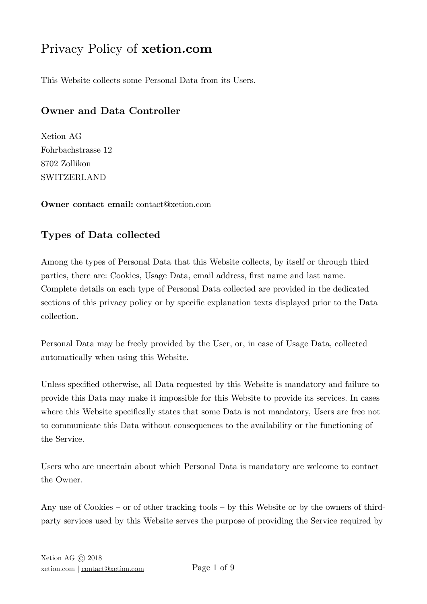# Privacy Policy of **xetion.com**

This Website collects some Personal Data from its Users.

# **Owner and Data Controller**

Xetion AG Fohrbachstrasse 12 8702 Zollikon SWITZERLAND

**Owner contact email:** contact@xetion.com

# **Types of Data collected**

Among the types of Personal Data that this Website collects, by itself or through third parties, there are: Cookies, Usage Data, email address, first name and last name. Complete details on each type of Personal Data collected are provided in the dedicated sections of this privacy policy or by specific explanation texts displayed prior to the Data collection.

Personal Data may be freely provided by the User, or, in case of Usage Data, collected automatically when using this Website.

Unless specified otherwise, all Data requested by this Website is mandatory and failure to provide this Data may make it impossible for this Website to provide its services. In cases where this Website specifically states that some Data is not mandatory, Users are free not to communicate this Data without consequences to the availability or the functioning of the Service.

Users who are uncertain about which Personal Data is mandatory are welcome to contact the Owner.

Any use of Cookies – or of other tracking tools – by this Website or by the owners of thirdparty services used by this Website serves the purpose of providing the Service required by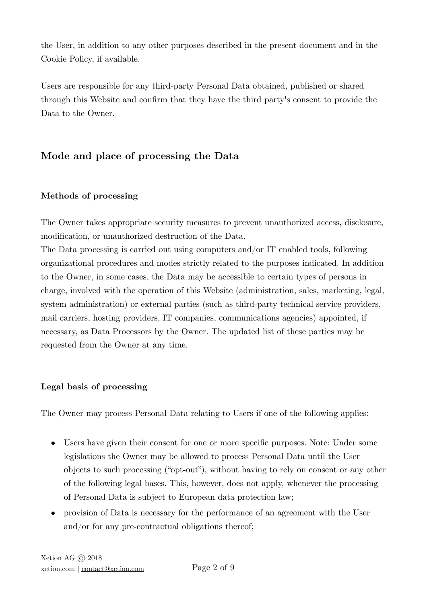the User, in addition to any other purposes described in the present document and in the Cookie Policy, if available.

Users are responsible for any third-party Personal Data obtained, published or shared through this Website and confirm that they have the third party's consent to provide the Data to the Owner.

# **Mode and place of processing the Data**

# **Methods of processing**

The Owner takes appropriate security measures to prevent unauthorized access, disclosure, modification, or unauthorized destruction of the Data.

The Data processing is carried out using computers and/or IT enabled tools, following organizational procedures and modes strictly related to the purposes indicated. In addition to the Owner, in some cases, the Data may be accessible to certain types of persons in charge, involved with the operation of this Website (administration, sales, marketing, legal, system administration) or external parties (such as third-party technical service providers, mail carriers, hosting providers, IT companies, communications agencies) appointed, if necessary, as Data Processors by the Owner. The updated list of these parties may be requested from the Owner at any time.

# **Legal basis of processing**

The Owner may process Personal Data relating to Users if one of the following applies:

- Users have given their consent for one or more specific purposes. Note: Under some legislations the Owner may be allowed to process Personal Data until the User objects to such processing ("opt-out"), without having to rely on consent or any other of the following legal bases. This, however, does not apply, whenever the processing of Personal Data is subject to European data protection law;
- provision of Data is necessary for the performance of an agreement with the User and/or for any pre-contractual obligations thereof;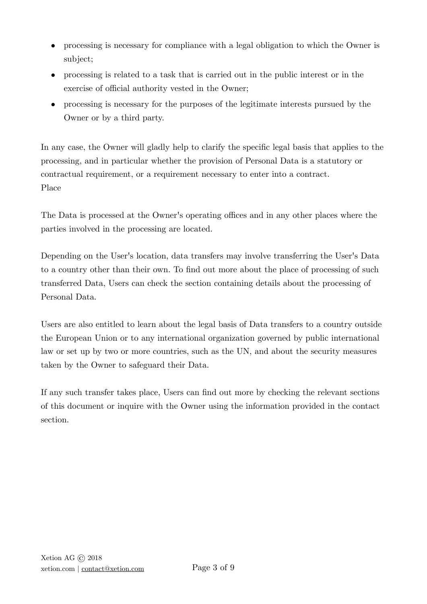- processing is necessary for compliance with a legal obligation to which the Owner is subject;
- processing is related to a task that is carried out in the public interest or in the exercise of official authority vested in the Owner;
- processing is necessary for the purposes of the legitimate interests pursued by the Owner or by a third party.

In any case, the Owner will gladly help to clarify the specific legal basis that applies to the processing, and in particular whether the provision of Personal Data is a statutory or contractual requirement, or a requirement necessary to enter into a contract. Place

The Data is processed at the Owner's operating offices and in any other places where the parties involved in the processing are located.

Depending on the User's location, data transfers may involve transferring the User's Data to a country other than their own. To find out more about the place of processing of such transferred Data, Users can check the section containing details about the processing of Personal Data.

Users are also entitled to learn about the legal basis of Data transfers to a country outside the European Union or to any international organization governed by public international law or set up by two or more countries, such as the UN, and about the security measures taken by the Owner to safeguard their Data.

If any such transfer takes place, Users can find out more by checking the relevant sections of this document or inquire with the Owner using the information provided in the contact section.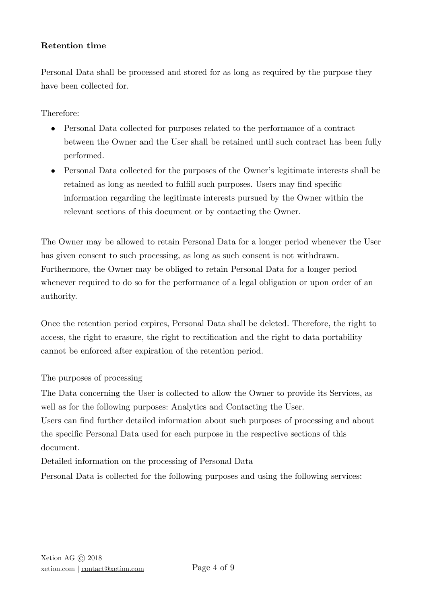#### **Retention time**

Personal Data shall be processed and stored for as long as required by the purpose they have been collected for.

Therefore:

- Personal Data collected for purposes related to the performance of a contract between the Owner and the User shall be retained until such contract has been fully performed.
- Personal Data collected for the purposes of the Owner's legitimate interests shall be retained as long as needed to fulfill such purposes. Users may find specific information regarding the legitimate interests pursued by the Owner within the relevant sections of this document or by contacting the Owner.

The Owner may be allowed to retain Personal Data for a longer period whenever the User has given consent to such processing, as long as such consent is not withdrawn. Furthermore, the Owner may be obliged to retain Personal Data for a longer period whenever required to do so for the performance of a legal obligation or upon order of an authority.

Once the retention period expires, Personal Data shall be deleted. Therefore, the right to access, the right to erasure, the right to rectification and the right to data portability cannot be enforced after expiration of the retention period.

The purposes of processing

The Data concerning the User is collected to allow the Owner to provide its Services, as well as for the following purposes: Analytics and Contacting the User.

Users can find further detailed information about such purposes of processing and about the specific Personal Data used for each purpose in the respective sections of this document.

Detailed information on the processing of Personal Data

Personal Data is collected for the following purposes and using the following services: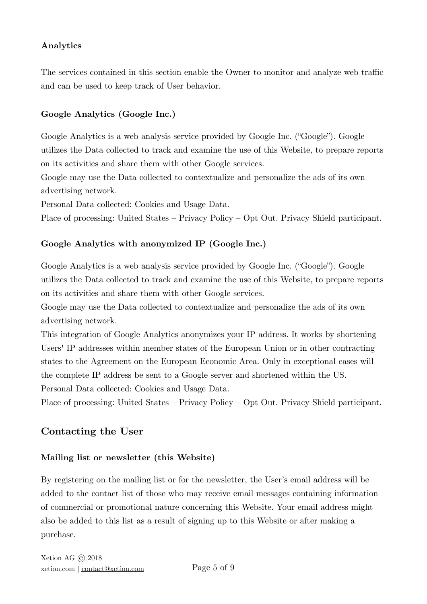#### **Analytics**

The services contained in this section enable the Owner to monitor and analyze web traffic and can be used to keep track of User behavior.

#### **Google Analytics (Google Inc.)**

Google Analytics is a web analysis service provided by Google Inc. ("Google"). Google utilizes the Data collected to track and examine the use of this Website, to prepare reports on its activities and share them with other Google services.

Google may use the Data collected to contextualize and personalize the ads of its own advertising network.

Personal Data collected: Cookies and Usage Data.

Place of processing: United States – [Privacy Policy](https://www.google.com/intl/en/policies/privacy/) – [Opt Out](https://tools.google.com/dlpage/gaoptout?hl=en). Privacy Shield participant.

#### **Google Analytics with anonymized IP (Google Inc.)**

Google Analytics is a web analysis service provided by Google Inc. ("Google"). Google utilizes the Data collected to track and examine the use of this Website, to prepare reports on its activities and share them with other Google services.

Google may use the Data collected to contextualize and personalize the ads of its own advertising network.

This integration of Google Analytics anonymizes your IP address. It works by shortening Users' IP addresses within member states of the European Union or in other contracting states to the Agreement on the European Economic Area. Only in exceptional cases will the complete IP address be sent to a Google server and shortened within the US. Personal Data collected: Cookies and Usage Data.

Place of processing: United States – [Privacy Policy](https://www.google.com/intl/en/policies/privacy/) – [Opt Out](https://tools.google.com/dlpage/gaoptout?hl=en). Privacy Shield participant.

# **Contacting the User**

#### **Mailing list or newsletter (this Website)**

By registering on the mailing list or for the newsletter, the User's email address will be added to the contact list of those who may receive email messages containing information of commercial or promotional nature concerning this Website. Your email address might also be added to this list as a result of signing up to this Website or after making a purchase.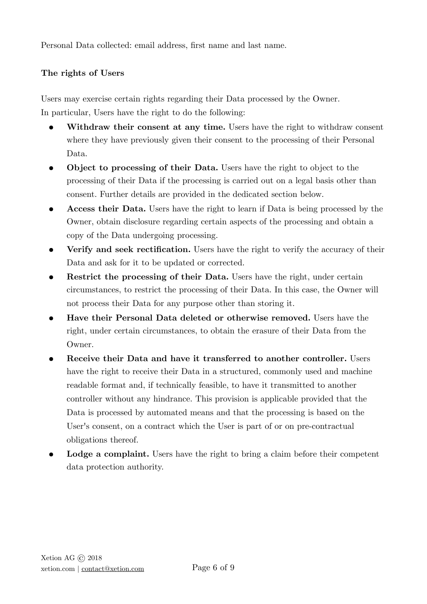Personal Data collected: email address, first name and last name.

# **The rights of Users**

Users may exercise certain rights regarding their Data processed by the Owner. In particular, Users have the right to do the following:

- **Withdraw their consent at any time.** Users have the right to withdraw consent where they have previously given their consent to the processing of their Personal Data.
- **Object to processing of their Data.** Users have the right to object to the processing of their Data if the processing is carried out on a legal basis other than consent. Further details are provided in the dedicated section below.
- **Access their Data.** Users have the right to learn if Data is being processed by the Owner, obtain disclosure regarding certain aspects of the processing and obtain a copy of the Data undergoing processing.
- **Verify and seek rectification.** Users have the right to verify the accuracy of their Data and ask for it to be updated or corrected.
- **Restrict the processing of their Data.** Users have the right, under certain circumstances, to restrict the processing of their Data. In this case, the Owner will not process their Data for any purpose other than storing it.
- **Have their Personal Data deleted or otherwise removed.** Users have the right, under certain circumstances, to obtain the erasure of their Data from the Owner.
- **Receive their Data and have it transferred to another controller.** Users have the right to receive their Data in a structured, commonly used and machine readable format and, if technically feasible, to have it transmitted to another controller without any hindrance. This provision is applicable provided that the Data is processed by automated means and that the processing is based on the User's consent, on a contract which the User is part of or on pre-contractual obligations thereof.
- **Lodge a complaint.** Users have the right to bring a claim before their competent data protection authority.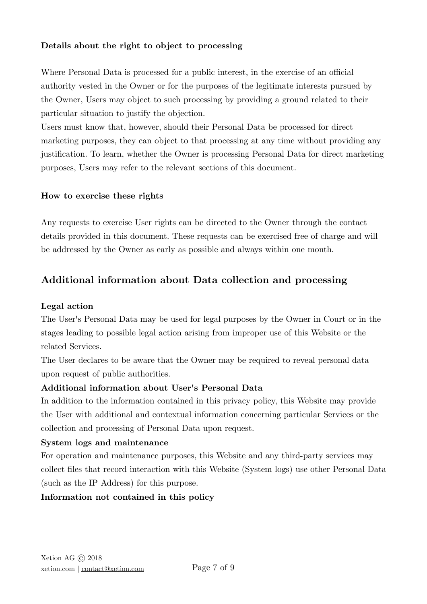#### **Details about the right to object to processing**

Where Personal Data is processed for a public interest, in the exercise of an official authority vested in the Owner or for the purposes of the legitimate interests pursued by the Owner, Users may object to such processing by providing a ground related to their particular situation to justify the objection.

Users must know that, however, should their Personal Data be processed for direct marketing purposes, they can object to that processing at any time without providing any justification. To learn, whether the Owner is processing Personal Data for direct marketing purposes, Users may refer to the relevant sections of this document.

#### **How to exercise these rights**

Any requests to exercise User rights can be directed to the Owner through the contact details provided in this document. These requests can be exercised free of charge and will be addressed by the Owner as early as possible and always within one month.

# **Additional information about Data collection and processing**

## **Legal action**

The User's Personal Data may be used for legal purposes by the Owner in Court or in the stages leading to possible legal action arising from improper use of this Website or the related Services.

The User declares to be aware that the Owner may be required to reveal personal data upon request of public authorities.

#### **Additional information about User's Personal Data**

In addition to the information contained in this privacy policy, this Website may provide the User with additional and contextual information concerning particular Services or the collection and processing of Personal Data upon request.

#### **System logs and maintenance**

For operation and maintenance purposes, this Website and any third-party services may collect files that record interaction with this Website (System logs) use other Personal Data (such as the IP Address) for this purpose.

# **Information not contained in this policy**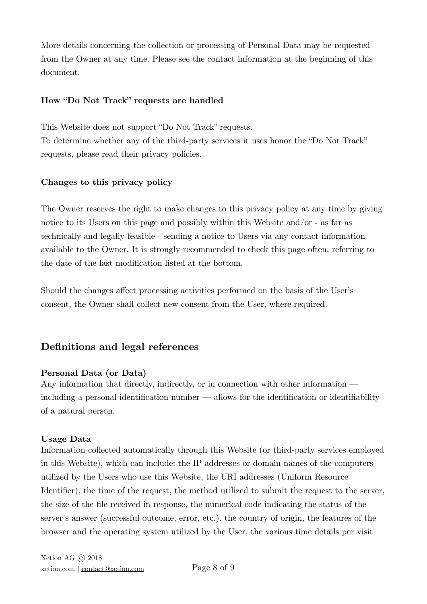More details concerning the collection or processing of Personal Data may be requested from the Owner at any time. Please see the contact information at the beginning of this document.

#### **How "Do Not Track" requests are handled**

This Website does not support "Do Not Track" requests. To determine whether any of the third-party services it uses honor the "Do Not Track" requests, please read their privacy policies.

#### **Changes to this privacy policy**

The Owner reserves the right to make changes to this privacy policy at any time by giving notice to its Users on this page and possibly within this Website and/or - as far as technically and legally feasible - sending a notice to Users via any contact information available to the Owner. It is strongly recommended to check this page often, referring to the date of the last modification listed at the bottom.

Should the changes affect processing activities performed on the basis of the User's consent, the Owner shall collect new consent from the User, where required.

# **Definitions and legal references**

#### **Personal Data (or Data)**

Any information that directly, indirectly, or in connection with other information including a personal identification number — allows for the identification or identifiability of a natural person.

#### **Usage Data**

Information collected automatically through this Website (or third-party services employed in this Website), which can include: the IP addresses or domain names of the computers utilized by the Users who use this Website, the URI addresses (Uniform Resource Identifier), the time of the request, the method utilized to submit the request to the server, the size of the file received in response, the numerical code indicating the status of the server's answer (successful outcome, error, etc.), the country of origin, the features of the browser and the operating system utilized by the User, the various time details per visit